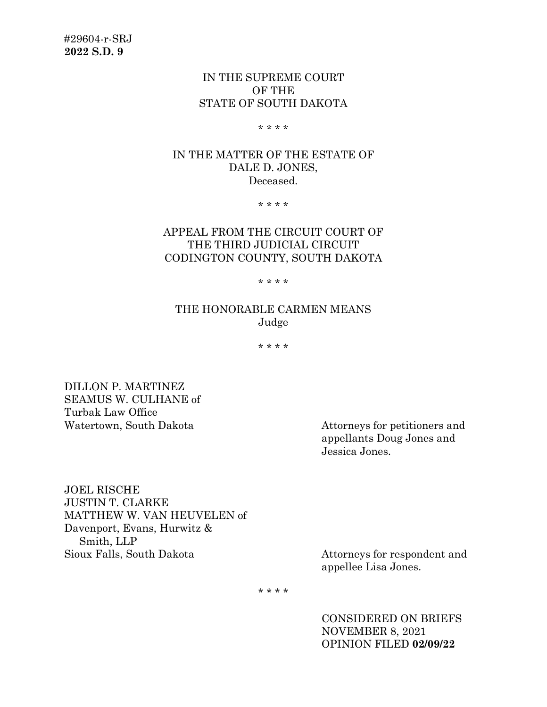## IN THE SUPREME COURT OF THE STATE OF SOUTH DAKOTA

\* \* \* \*

## IN THE MATTER OF THE ESTATE OF DALE D. JONES, Deceased.

\* \* \* \*

# APPEAL FROM THE CIRCUIT COURT OF THE THIRD JUDICIAL CIRCUIT CODINGTON COUNTY, SOUTH DAKOTA

\* \* \* \*

## THE HONORABLE CARMEN MEANS Judge

\* \* \* \*

DILLON P. MARTINEZ SEAMUS W. CULHANE of Turbak Law Office

Watertown, South Dakota **Attorneys** for petitioners and appellants Doug Jones and Jessica Jones.

JOEL RISCHE JUSTIN T. CLARKE MATTHEW W. VAN HEUVELEN of Davenport, Evans, Hurwitz & Smith, LLP<br>Sioux Falls, South Dakota

Attorneys for respondent and appellee Lisa Jones.

\* \* \* \*

CONSIDERED ON BRIEFS NOVEMBER 8, 2021 OPINION FILED **02/09/22**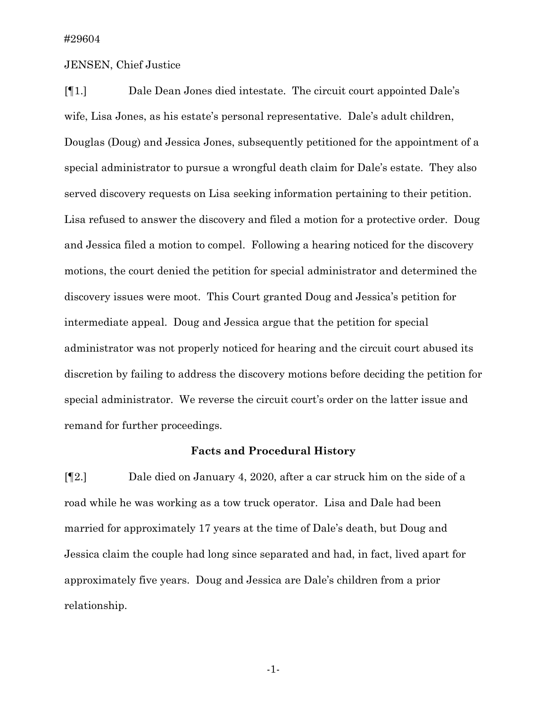### JENSEN, Chief Justice

[¶1.] Dale Dean Jones died intestate. The circuit court appointed Dale's wife, Lisa Jones, as his estate's personal representative. Dale's adult children, Douglas (Doug) and Jessica Jones, subsequently petitioned for the appointment of a special administrator to pursue a wrongful death claim for Dale's estate. They also served discovery requests on Lisa seeking information pertaining to their petition. Lisa refused to answer the discovery and filed a motion for a protective order. Doug and Jessica filed a motion to compel. Following a hearing noticed for the discovery motions, the court denied the petition for special administrator and determined the discovery issues were moot. This Court granted Doug and Jessica's petition for intermediate appeal. Doug and Jessica argue that the petition for special administrator was not properly noticed for hearing and the circuit court abused its discretion by failing to address the discovery motions before deciding the petition for special administrator. We reverse the circuit court's order on the latter issue and remand for further proceedings.

### **Facts and Procedural History**

[¶2.] Dale died on January 4, 2020, after a car struck him on the side of a road while he was working as a tow truck operator. Lisa and Dale had been married for approximately 17 years at the time of Dale's death, but Doug and Jessica claim the couple had long since separated and had, in fact, lived apart for approximately five years. Doug and Jessica are Dale's children from a prior relationship.

-1-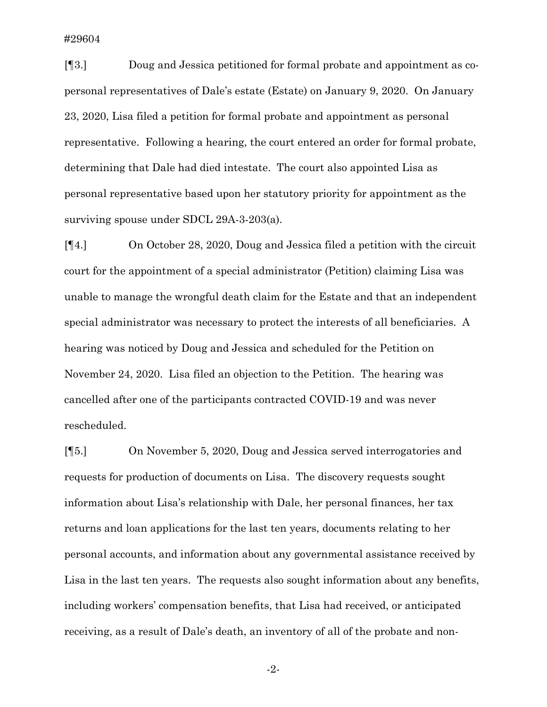[¶3.] Doug and Jessica petitioned for formal probate and appointment as copersonal representatives of Dale's estate (Estate) on January 9, 2020. On January 23, 2020, Lisa filed a petition for formal probate and appointment as personal representative. Following a hearing, the court entered an order for formal probate, determining that Dale had died intestate. The court also appointed Lisa as personal representative based upon her statutory priority for appointment as the surviving spouse under SDCL 29A-3-203(a).

[¶4.] On October 28, 2020, Doug and Jessica filed a petition with the circuit court for the appointment of a special administrator (Petition) claiming Lisa was unable to manage the wrongful death claim for the Estate and that an independent special administrator was necessary to protect the interests of all beneficiaries. A hearing was noticed by Doug and Jessica and scheduled for the Petition on November 24, 2020. Lisa filed an objection to the Petition. The hearing was cancelled after one of the participants contracted COVID-19 and was never rescheduled.

[¶5.] On November 5, 2020, Doug and Jessica served interrogatories and requests for production of documents on Lisa. The discovery requests sought information about Lisa's relationship with Dale, her personal finances, her tax returns and loan applications for the last ten years, documents relating to her personal accounts, and information about any governmental assistance received by Lisa in the last ten years. The requests also sought information about any benefits, including workers' compensation benefits, that Lisa had received, or anticipated receiving, as a result of Dale's death, an inventory of all of the probate and non-

-2-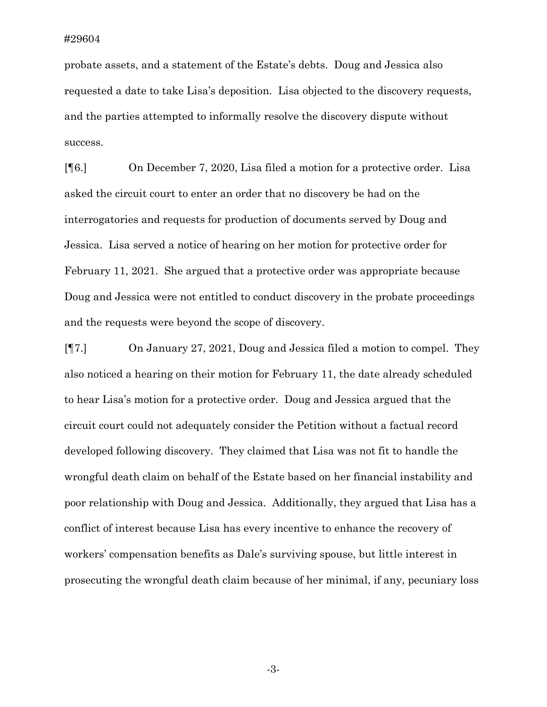probate assets, and a statement of the Estate's debts. Doug and Jessica also requested a date to take Lisa's deposition. Lisa objected to the discovery requests, and the parties attempted to informally resolve the discovery dispute without success.

[¶6.] On December 7, 2020, Lisa filed a motion for a protective order. Lisa asked the circuit court to enter an order that no discovery be had on the interrogatories and requests for production of documents served by Doug and Jessica. Lisa served a notice of hearing on her motion for protective order for February 11, 2021. She argued that a protective order was appropriate because Doug and Jessica were not entitled to conduct discovery in the probate proceedings and the requests were beyond the scope of discovery.

[¶7.] On January 27, 2021, Doug and Jessica filed a motion to compel. They also noticed a hearing on their motion for February 11, the date already scheduled to hear Lisa's motion for a protective order. Doug and Jessica argued that the circuit court could not adequately consider the Petition without a factual record developed following discovery. They claimed that Lisa was not fit to handle the wrongful death claim on behalf of the Estate based on her financial instability and poor relationship with Doug and Jessica. Additionally, they argued that Lisa has a conflict of interest because Lisa has every incentive to enhance the recovery of workers' compensation benefits as Dale's surviving spouse, but little interest in prosecuting the wrongful death claim because of her minimal, if any, pecuniary loss

-3-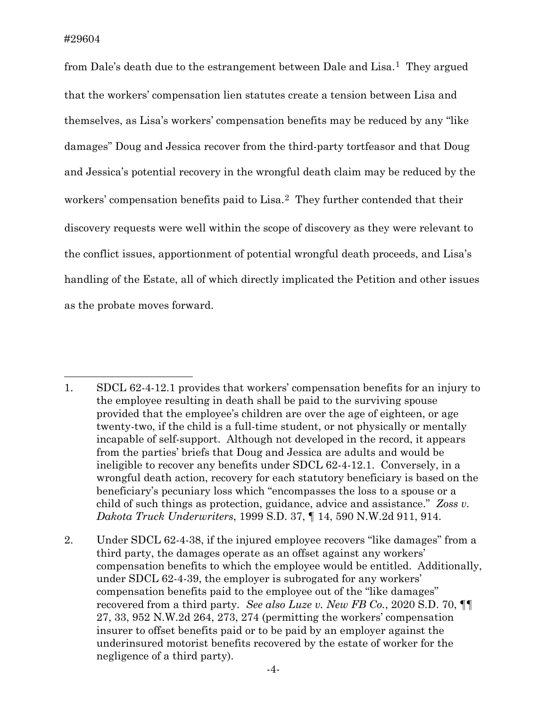from Dale's death due to the estrangement between Dale and Lisa.<sup>1</sup> They argued that the workers' compensation lien statutes create a tension between Lisa and themselves, as Lisa's workers' compensation benefits may be reduced by any "like damages" Doug and Jessica recover from the third-party tortfeasor and that Doug and Jessica's potential recovery in the wrongful death claim may be reduced by the workers' compensation benefits paid to Lisa.<sup>2</sup> They further contended that their discovery requests were well within the scope of discovery as they were relevant to the conflict issues, apportionment of potential wrongful death proceeds, and Lisa's handling of the Estate, all of which directly implicated the Petition and other issues as the probate moves forward.

<span id="page-4-0"></span><sup>1.</sup> SDCL 62-4-12.1 provides that workers' compensation benefits for an injury to the employee resulting in death shall be paid to the surviving spouse provided that the employee's children are over the age of eighteen, or age twenty-two, if the child is a full-time student, or not physically or mentally incapable of self-support. Although not developed in the record, it appears from the parties' briefs that Doug and Jessica are adults and would be ineligible to recover any benefits under SDCL 62-4-12.1. Conversely, in a wrongful death action, recovery for each statutory beneficiary is based on the beneficiary's pecuniary loss which "encompasses the loss to a spouse or a child of such things as protection, guidance, advice and assistance." *Zoss v. Dakota Truck Underwriters*, 1999 S.D. 37, ¶ 14, 590 N.W.2d 911, 914.

<span id="page-4-1"></span><sup>2.</sup> Under SDCL 62-4-38, if the injured employee recovers "like damages" from a third party, the damages operate as an offset against any workers' compensation benefits to which the employee would be entitled. Additionally, under SDCL 62-4-39, the employer is subrogated for any workers' compensation benefits paid to the employee out of the "like damages" recovered from a third party*. See also Luze v. New FB Co.*, 2020 S.D. 70, ¶¶ 27, 33, 952 N.W.2d 264, 273, 274 (permitting the workers' compensation insurer to offset benefits paid or to be paid by an employer against the underinsured motorist benefits recovered by the estate of worker for the negligence of a third party).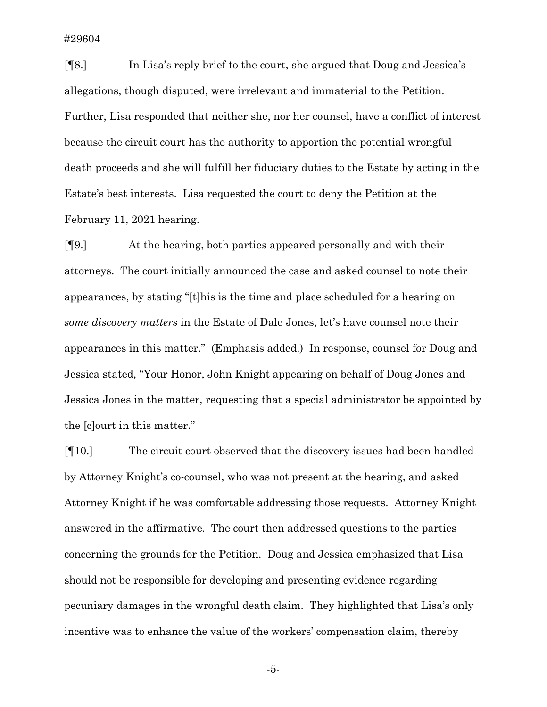[¶8.] In Lisa's reply brief to the court, she argued that Doug and Jessica's allegations, though disputed, were irrelevant and immaterial to the Petition. Further, Lisa responded that neither she, nor her counsel, have a conflict of interest because the circuit court has the authority to apportion the potential wrongful death proceeds and she will fulfill her fiduciary duties to the Estate by acting in the Estate's best interests. Lisa requested the court to deny the Petition at the February 11, 2021 hearing.

[¶9.] At the hearing, both parties appeared personally and with their attorneys. The court initially announced the case and asked counsel to note their appearances, by stating "[t]his is the time and place scheduled for a hearing on *some discovery matters* in the Estate of Dale Jones, let's have counsel note their appearances in this matter." (Emphasis added.) In response, counsel for Doug and Jessica stated, "Your Honor, John Knight appearing on behalf of Doug Jones and Jessica Jones in the matter, requesting that a special administrator be appointed by the [c]ourt in this matter."

[¶10.] The circuit court observed that the discovery issues had been handled by Attorney Knight's co-counsel, who was not present at the hearing, and asked Attorney Knight if he was comfortable addressing those requests. Attorney Knight answered in the affirmative. The court then addressed questions to the parties concerning the grounds for the Petition. Doug and Jessica emphasized that Lisa should not be responsible for developing and presenting evidence regarding pecuniary damages in the wrongful death claim. They highlighted that Lisa's only incentive was to enhance the value of the workers' compensation claim, thereby

-5-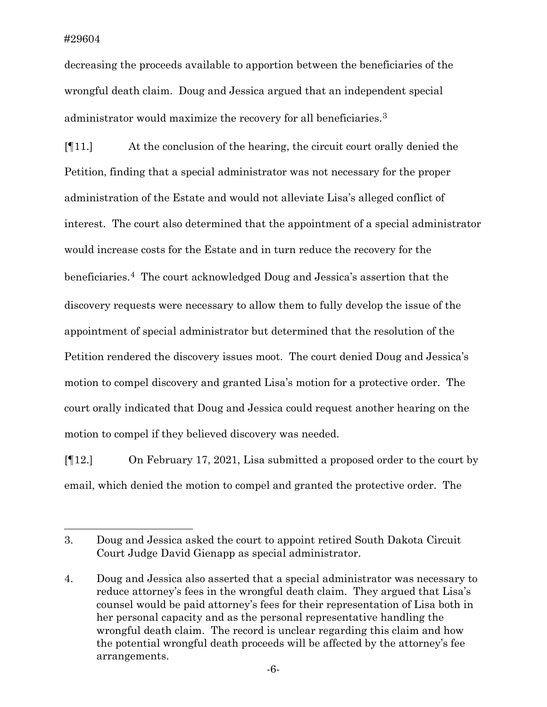decreasing the proceeds available to apportion between the beneficiaries of the wrongful death claim. Doug and Jessica argued that an independent special administrator would maximize the recovery for all beneficiaries.[3](#page-6-0)

[¶11.] At the conclusion of the hearing, the circuit court orally denied the Petition, finding that a special administrator was not necessary for the proper administration of the Estate and would not alleviate Lisa's alleged conflict of interest. The court also determined that the appointment of a special administrator would increase costs for the Estate and in turn reduce the recovery for the beneficiaries.[4](#page-6-1) The court acknowledged Doug and Jessica's assertion that the discovery requests were necessary to allow them to fully develop the issue of the appointment of special administrator but determined that the resolution of the Petition rendered the discovery issues moot. The court denied Doug and Jessica's motion to compel discovery and granted Lisa's motion for a protective order. The court orally indicated that Doug and Jessica could request another hearing on the motion to compel if they believed discovery was needed.

[¶12.] On February 17, 2021, Lisa submitted a proposed order to the court by email, which denied the motion to compel and granted the protective order. The

<span id="page-6-0"></span><sup>3.</sup> Doug and Jessica asked the court to appoint retired South Dakota Circuit Court Judge David Gienapp as special administrator.

<span id="page-6-1"></span><sup>4.</sup> Doug and Jessica also asserted that a special administrator was necessary to reduce attorney's fees in the wrongful death claim. They argued that Lisa's counsel would be paid attorney's fees for their representation of Lisa both in her personal capacity and as the personal representative handling the wrongful death claim. The record is unclear regarding this claim and how the potential wrongful death proceeds will be affected by the attorney's fee arrangements.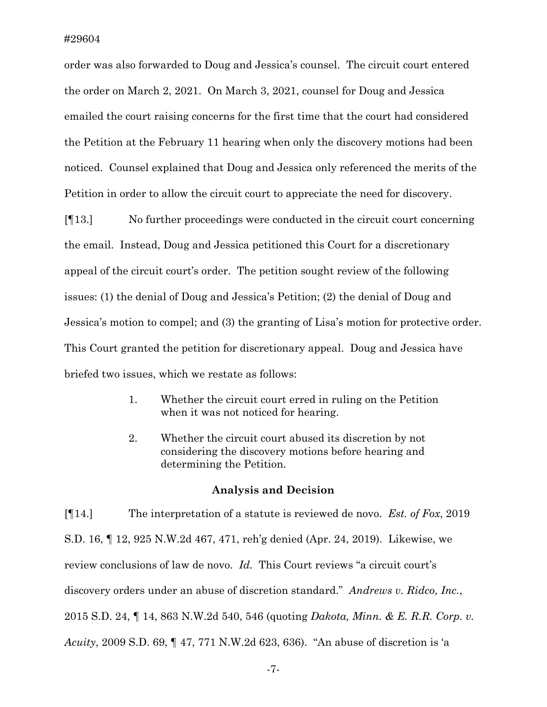order was also forwarded to Doug and Jessica's counsel. The circuit court entered the order on March 2, 2021. On March 3, 2021, counsel for Doug and Jessica emailed the court raising concerns for the first time that the court had considered the Petition at the February 11 hearing when only the discovery motions had been noticed. Counsel explained that Doug and Jessica only referenced the merits of the Petition in order to allow the circuit court to appreciate the need for discovery.

[¶13.] No further proceedings were conducted in the circuit court concerning the email. Instead, Doug and Jessica petitioned this Court for a discretionary appeal of the circuit court's order. The petition sought review of the following issues: (1) the denial of Doug and Jessica's Petition; (2) the denial of Doug and Jessica's motion to compel; and (3) the granting of Lisa's motion for protective order. This Court granted the petition for discretionary appeal. Doug and Jessica have briefed two issues, which we restate as follows:

- 1. Whether the circuit court erred in ruling on the Petition when it was not noticed for hearing.
- 2. Whether the circuit court abused its discretion by not considering the discovery motions before hearing and determining the Petition.

#### **Analysis and Decision**

[¶14.] The interpretation of a statute is reviewed de novo. *Est. of Fox*, 2019 S.D. 16, ¶ 12, 925 N.W.2d 467, 471, reh'g denied (Apr. 24, 2019). Likewise, we review conclusions of law de novo. *Id.* This Court reviews "a circuit court's discovery orders under an abuse of discretion standard." *Andrews v. Ridco, Inc.*, 2015 S.D. 24, ¶ 14, 863 N.W.2d 540, 546 (quoting *Dakota, Minn. & E. R.R. Corp. v. Acuity*, 2009 S.D. 69, ¶ 47, 771 N.W.2d 623, 636). "An abuse of discretion is 'a

-7-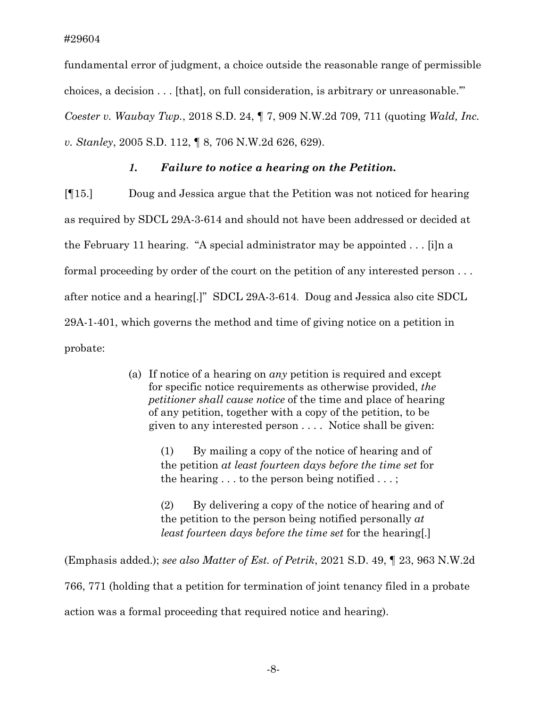fundamental error of judgment, a choice outside the reasonable range of permissible choices, a decision . . . [that], on full consideration, is arbitrary or unreasonable.'" *Coester v. Waubay Twp.*, 2018 S.D. 24, ¶ 7, 909 N.W.2d 709, 711 (quoting *Wald, Inc. v. Stanley*, 2005 S.D. 112, ¶ 8, 706 N.W.2d 626, 629).

## *1. Failure to notice a hearing on the Petition.*

[¶15.] Doug and Jessica argue that the Petition was not noticed for hearing as required by SDCL 29A-3-614 and should not have been addressed or decided at the February 11 hearing. "A special administrator may be appointed . . . [i]n a formal proceeding by order of the court on the petition of any interested person . . . after notice and a hearing[.]" SDCL 29A-3-614. Doug and Jessica also cite SDCL 29A-1-401, which governs the method and time of giving notice on a petition in probate:

> (a) If notice of a hearing on *any* petition is required and except for specific notice requirements as otherwise provided, *the petitioner shall cause notice* of the time and place of hearing of any petition, together with a copy of the petition, to be given to any interested person . . . . Notice shall be given:

> > (1) By mailing a copy of the notice of hearing and of the petition *at least fourteen days before the time set* for the hearing . . . to the person being notified . . . ;

(2) By delivering a copy of the notice of hearing and of the petition to the person being notified personally *at least fourteen days before the time set* for the hearing[.]

(Emphasis added.); *see also Matter of Est. of Petrik*, 2021 S.D. 49, ¶ 23, 963 N.W.2d 766, 771 (holding that a petition for termination of joint tenancy filed in a probate action was a formal proceeding that required notice and hearing).

-8-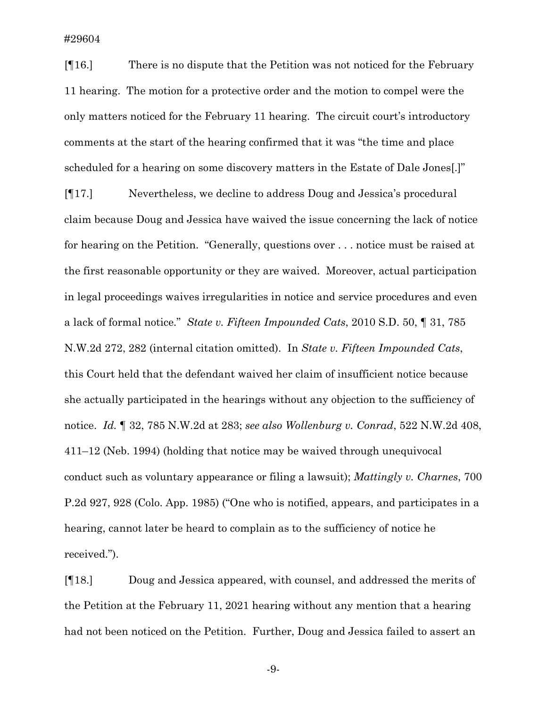[¶16.] There is no dispute that the Petition was not noticed for the February 11 hearing. The motion for a protective order and the motion to compel were the only matters noticed for the February 11 hearing. The circuit court's introductory comments at the start of the hearing confirmed that it was "the time and place scheduled for a hearing on some discovery matters in the Estate of Dale Jones[.]"

[¶17.] Nevertheless, we decline to address Doug and Jessica's procedural claim because Doug and Jessica have waived the issue concerning the lack of notice for hearing on the Petition. "Generally, questions over . . . notice must be raised at the first reasonable opportunity or they are waived. Moreover, actual participation in legal proceedings waives irregularities in notice and service procedures and even a lack of formal notice." *State v. Fifteen Impounded Cats*, 2010 S.D. 50, ¶ 31, 785 N.W.2d 272, 282 (internal citation omitted). In *State v. Fifteen Impounded Cats*, this Court held that the defendant waived her claim of insufficient notice because she actually participated in the hearings without any objection to the sufficiency of notice. *Id.* ¶ 32, 785 N.W.2d at 283; *see also Wollenburg v. Conrad*, 522 N.W.2d 408, 411–12 (Neb. 1994) (holding that notice may be waived through unequivocal conduct such as voluntary appearance or filing a lawsuit); *Mattingly v. Charnes*, 700 P.2d 927, 928 (Colo. App. 1985) ("One who is notified, appears, and participates in a hearing, cannot later be heard to complain as to the sufficiency of notice he received.").

[¶18.] Doug and Jessica appeared, with counsel, and addressed the merits of the Petition at the February 11, 2021 hearing without any mention that a hearing had not been noticed on the Petition. Further, Doug and Jessica failed to assert an

-9-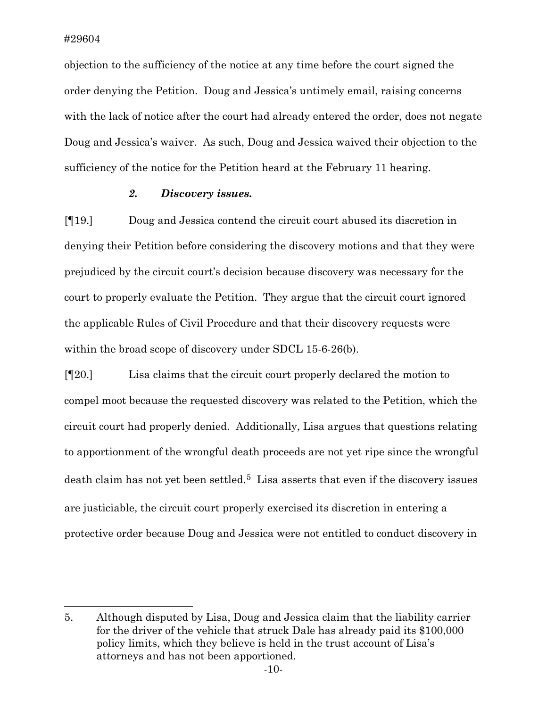objection to the sufficiency of the notice at any time before the court signed the order denying the Petition. Doug and Jessica's untimely email, raising concerns with the lack of notice after the court had already entered the order, does not negate Doug and Jessica's waiver. As such, Doug and Jessica waived their objection to the sufficiency of the notice for the Petition heard at the February 11 hearing.

## *2. Discovery issues.*

[¶19.] Doug and Jessica contend the circuit court abused its discretion in denying their Petition before considering the discovery motions and that they were prejudiced by the circuit court's decision because discovery was necessary for the court to properly evaluate the Petition. They argue that the circuit court ignored the applicable Rules of Civil Procedure and that their discovery requests were within the broad scope of discovery under SDCL 15-6-26(b).

[¶20.] Lisa claims that the circuit court properly declared the motion to compel moot because the requested discovery was related to the Petition, which the circuit court had properly denied. Additionally, Lisa argues that questions relating to apportionment of the wrongful death proceeds are not yet ripe since the wrongful death claim has not yet been settled.<sup>5</sup> Lisa asserts that even if the discovery issues are justiciable, the circuit court properly exercised its discretion in entering a protective order because Doug and Jessica were not entitled to conduct discovery in

<span id="page-10-0"></span><sup>5.</sup> Although disputed by Lisa, Doug and Jessica claim that the liability carrier for the driver of the vehicle that struck Dale has already paid its \$100,000 policy limits, which they believe is held in the trust account of Lisa's attorneys and has not been apportioned.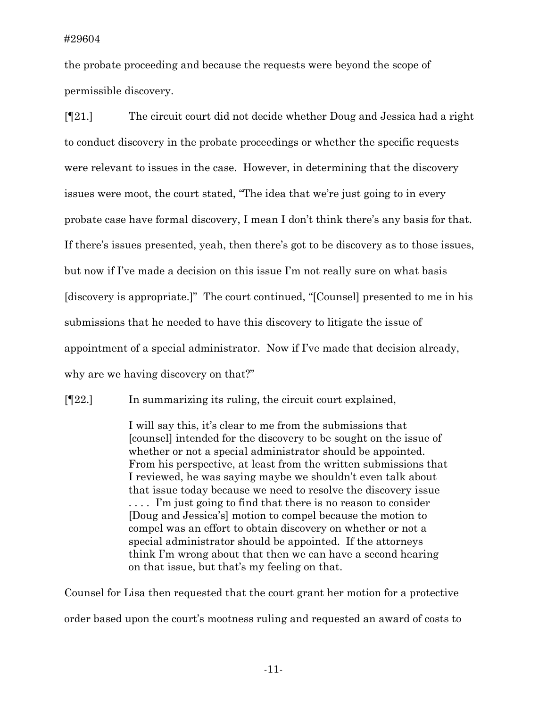the probate proceeding and because the requests were beyond the scope of permissible discovery.

[¶21.] The circuit court did not decide whether Doug and Jessica had a right to conduct discovery in the probate proceedings or whether the specific requests were relevant to issues in the case. However, in determining that the discovery issues were moot, the court stated, "The idea that we're just going to in every probate case have formal discovery, I mean I don't think there's any basis for that. If there's issues presented, yeah, then there's got to be discovery as to those issues, but now if I've made a decision on this issue I'm not really sure on what basis [discovery is appropriate.]" The court continued, "[Counsel] presented to me in his submissions that he needed to have this discovery to litigate the issue of appointment of a special administrator. Now if I've made that decision already, why are we having discovery on that?"

[¶22.] In summarizing its ruling, the circuit court explained,

I will say this, it's clear to me from the submissions that [counsel] intended for the discovery to be sought on the issue of whether or not a special administrator should be appointed. From his perspective, at least from the written submissions that I reviewed, he was saying maybe we shouldn't even talk about that issue today because we need to resolve the discovery issue . . . . I'm just going to find that there is no reason to consider [Doug and Jessica's] motion to compel because the motion to compel was an effort to obtain discovery on whether or not a special administrator should be appointed. If the attorneys think I'm wrong about that then we can have a second hearing on that issue, but that's my feeling on that.

Counsel for Lisa then requested that the court grant her motion for a protective order based upon the court's mootness ruling and requested an award of costs to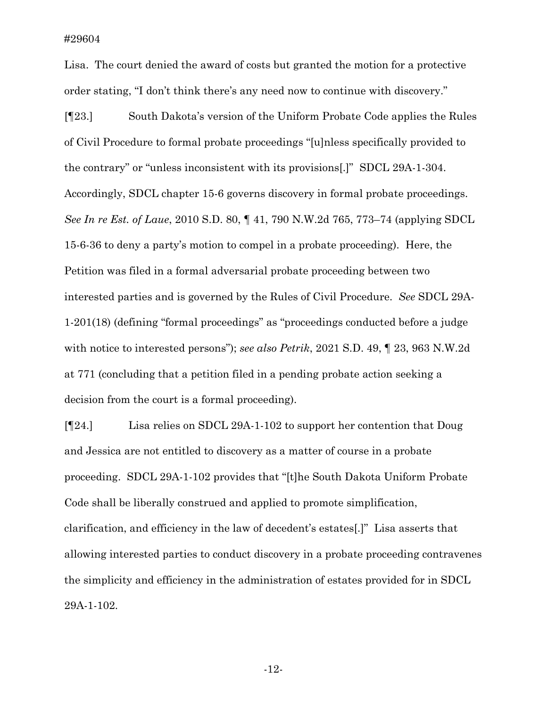Lisa. The court denied the award of costs but granted the motion for a protective order stating, "I don't think there's any need now to continue with discovery."

[¶23.] South Dakota's version of the Uniform Probate Code applies the Rules of Civil Procedure to formal probate proceedings "[u]nless specifically provided to the contrary" or "unless inconsistent with its provisions[.]" SDCL 29A-1-304. Accordingly, SDCL chapter 15-6 governs discovery in formal probate proceedings. *See In re Est. of Laue*, 2010 S.D. 80, ¶ 41, 790 N.W.2d 765, 773–74 (applying SDCL 15-6-36 to deny a party's motion to compel in a probate proceeding). Here, the Petition was filed in a formal adversarial probate proceeding between two interested parties and is governed by the Rules of Civil Procedure. *See* SDCL 29A-1-201(18) (defining "formal proceedings" as "proceedings conducted before a judge with notice to interested persons"); *see also Petrik*, 2021 S.D. 49, ¶ 23, 963 N.W.2d at 771 (concluding that a petition filed in a pending probate action seeking a decision from the court is a formal proceeding).

[¶24.] Lisa relies on SDCL 29A-1-102 to support her contention that Doug and Jessica are not entitled to discovery as a matter of course in a probate proceeding. SDCL 29A-1-102 provides that "[t]he South Dakota Uniform Probate Code shall be liberally construed and applied to promote simplification, clarification, and efficiency in the law of decedent's estates[.]" Lisa asserts that allowing interested parties to conduct discovery in a probate proceeding contravenes the simplicity and efficiency in the administration of estates provided for in SDCL 29A-1-102.

-12-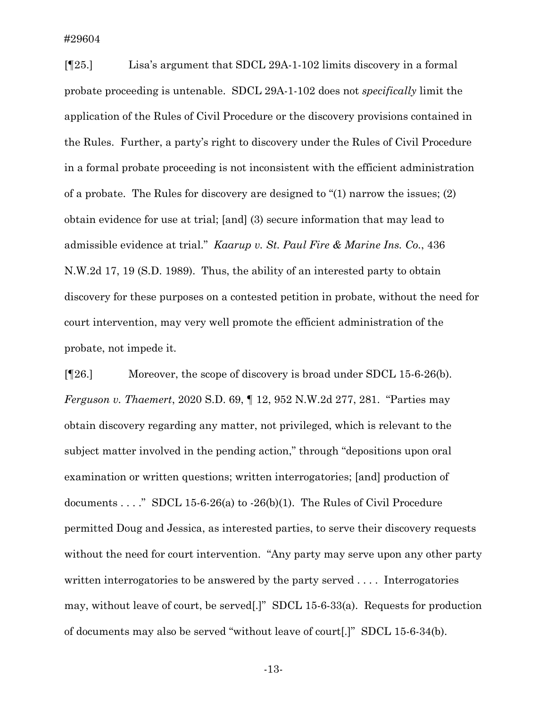[¶25.] Lisa's argument that SDCL 29A-1-102 limits discovery in a formal probate proceeding is untenable. SDCL 29A-1-102 does not *specifically* limit the application of the Rules of Civil Procedure or the discovery provisions contained in the Rules. Further, a party's right to discovery under the Rules of Civil Procedure in a formal probate proceeding is not inconsistent with the efficient administration of a probate. The Rules for discovery are designed to "(1) narrow the issues; (2) obtain evidence for use at trial; [and] (3) secure information that may lead to admissible evidence at trial." *Kaarup v. St. Paul Fire & Marine Ins. Co.*, 436 N.W.2d 17, 19 (S.D. 1989). Thus, the ability of an interested party to obtain discovery for these purposes on a contested petition in probate, without the need for court intervention, may very well promote the efficient administration of the probate, not impede it.

[¶26.] Moreover, the scope of discovery is broad under SDCL 15-6-26(b). *Ferguson v. Thaemert*, 2020 S.D. 69, ¶ 12, 952 N.W.2d 277, 281. "Parties may obtain discovery regarding any matter, not privileged, which is relevant to the subject matter involved in the pending action," through "depositions upon oral examination or written questions; written interrogatories; [and] production of documents . . . ." SDCL 15-6-26(a) to -26(b)(1). The Rules of Civil Procedure permitted Doug and Jessica, as interested parties, to serve their discovery requests without the need for court intervention. "Any party may serve upon any other party written interrogatories to be answered by the party served .... Interrogatories may, without leave of court, be served[.]" SDCL 15-6-33(a). Requests for production of documents may also be served "without leave of court[.]" SDCL 15-6-34(b).

-13-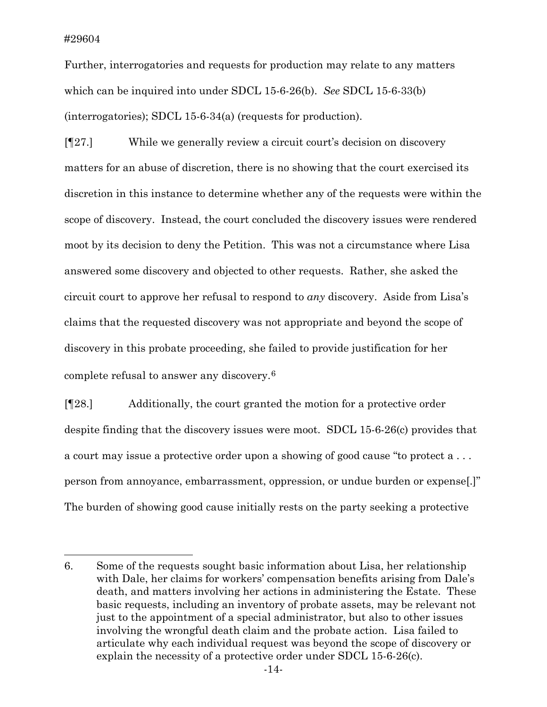Further, interrogatories and requests for production may relate to any matters which can be inquired into under SDCL 15-6-26(b). *See* SDCL 15-6-33(b) (interrogatories); SDCL 15-6-34(a) (requests for production).

[¶27.] While we generally review a circuit court's decision on discovery matters for an abuse of discretion, there is no showing that the court exercised its discretion in this instance to determine whether any of the requests were within the scope of discovery. Instead, the court concluded the discovery issues were rendered moot by its decision to deny the Petition. This was not a circumstance where Lisa answered some discovery and objected to other requests. Rather, she asked the circuit court to approve her refusal to respond to *any* discovery. Aside from Lisa's claims that the requested discovery was not appropriate and beyond the scope of discovery in this probate proceeding, she failed to provide justification for her complete refusal to answer any discovery.[6](#page-14-0)

[¶28.] Additionally, the court granted the motion for a protective order despite finding that the discovery issues were moot. SDCL 15-6-26(c) provides that a court may issue a protective order upon a showing of good cause "to protect a . . . person from annoyance, embarrassment, oppression, or undue burden or expense[.]" The burden of showing good cause initially rests on the party seeking a protective

<span id="page-14-0"></span><sup>6.</sup> Some of the requests sought basic information about Lisa, her relationship with Dale, her claims for workers' compensation benefits arising from Dale's death, and matters involving her actions in administering the Estate. These basic requests, including an inventory of probate assets, may be relevant not just to the appointment of a special administrator, but also to other issues involving the wrongful death claim and the probate action. Lisa failed to articulate why each individual request was beyond the scope of discovery or explain the necessity of a protective order under SDCL 15-6-26(c).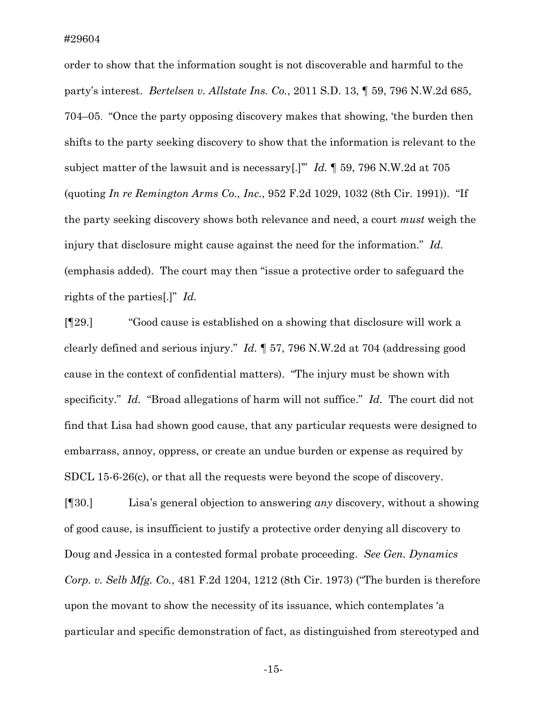order to show that the information sought is not discoverable and harmful to the party's interest. *Bertelsen v. Allstate Ins. Co.*, 2011 S.D. 13, ¶ 59, 796 N.W.2d 685, 704–05. "Once the party opposing discovery makes that showing, 'the burden then shifts to the party seeking discovery to show that the information is relevant to the subject matter of the lawsuit and is necessary[.]'" *Id.* ¶ 59, 796 N.W.2d at 705 (quoting *In re Remington Arms Co., Inc.*, 952 F.2d 1029, 1032 (8th Cir. 1991)). "If the party seeking discovery shows both relevance and need, a court *must* weigh the injury that disclosure might cause against the need for the information." *Id.*  (emphasis added). The court may then "issue a protective order to safeguard the rights of the parties[.]" *Id.*

[¶29.] "Good cause is established on a showing that disclosure will work a clearly defined and serious injury." *Id.* ¶ 57, 796 N.W.2d at 704 (addressing good cause in the context of confidential matters). "The injury must be shown with specificity." *Id.* "Broad allegations of harm will not suffice." *Id.* The court did not find that Lisa had shown good cause, that any particular requests were designed to embarrass, annoy, oppress, or create an undue burden or expense as required by SDCL 15-6-26(c), or that all the requests were beyond the scope of discovery.

[¶30.] Lisa's general objection to answering *any* discovery, without a showing of good cause, is insufficient to justify a protective order denying all discovery to Doug and Jessica in a contested formal probate proceeding. *See Gen. Dynamics Corp. v. Selb Mfg. Co.*, 481 F.2d 1204, 1212 (8th Cir. 1973) ("The burden is therefore upon the movant to show the necessity of its issuance, which contemplates 'a particular and specific demonstration of fact, as distinguished from stereotyped and

-15-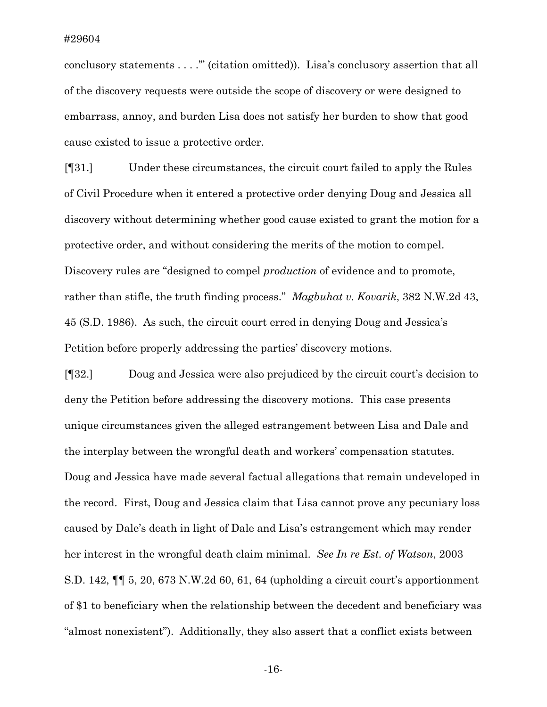conclusory statements . . . .'" (citation omitted)). Lisa's conclusory assertion that all of the discovery requests were outside the scope of discovery or were designed to embarrass, annoy, and burden Lisa does not satisfy her burden to show that good cause existed to issue a protective order.

[¶31.] Under these circumstances, the circuit court failed to apply the Rules of Civil Procedure when it entered a protective order denying Doug and Jessica all discovery without determining whether good cause existed to grant the motion for a protective order, and without considering the merits of the motion to compel. Discovery rules are "designed to compel *production* of evidence and to promote, rather than stifle, the truth finding process." *Magbuhat v. Kovarik*, 382 N.W.2d 43, 45 (S.D. 1986). As such, the circuit court erred in denying Doug and Jessica's Petition before properly addressing the parties' discovery motions.

[¶32.] Doug and Jessica were also prejudiced by the circuit court's decision to deny the Petition before addressing the discovery motions. This case presents unique circumstances given the alleged estrangement between Lisa and Dale and the interplay between the wrongful death and workers' compensation statutes. Doug and Jessica have made several factual allegations that remain undeveloped in the record. First, Doug and Jessica claim that Lisa cannot prove any pecuniary loss caused by Dale's death in light of Dale and Lisa's estrangement which may render her interest in the wrongful death claim minimal. *See In re Est. of Watson*, 2003 S.D. 142, ¶¶ 5, 20, 673 N.W.2d 60, 61, 64 (upholding a circuit court's apportionment of \$1 to beneficiary when the relationship between the decedent and beneficiary was "almost nonexistent"). Additionally, they also assert that a conflict exists between

-16-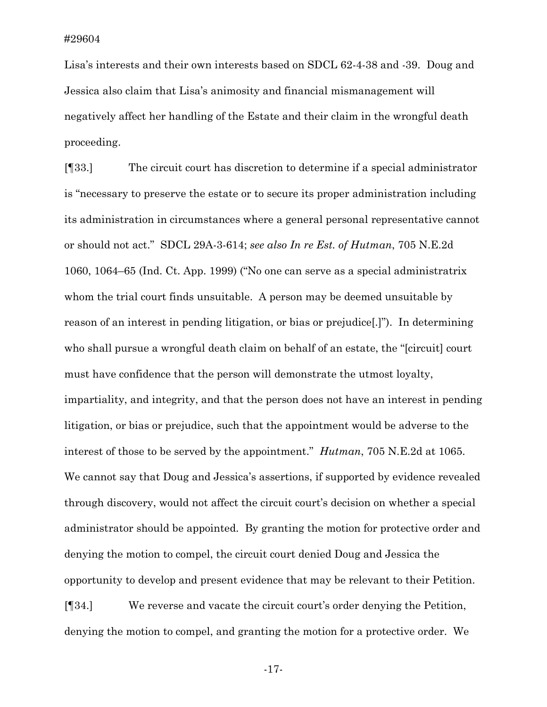Lisa's interests and their own interests based on SDCL 62-4-38 and -39. Doug and Jessica also claim that Lisa's animosity and financial mismanagement will negatively affect her handling of the Estate and their claim in the wrongful death proceeding.

[¶33.] The circuit court has discretion to determine if a special administrator is "necessary to preserve the estate or to secure its proper administration including its administration in circumstances where a general personal representative cannot or should not act." SDCL 29A-3-614; *see also In re Est. of Hutman*, 705 N.E.2d 1060, 1064–65 (Ind. Ct. App. 1999) ("No one can serve as a special administratrix whom the trial court finds unsuitable. A person may be deemed unsuitable by reason of an interest in pending litigation, or bias or prejudice[.]"). In determining who shall pursue a wrongful death claim on behalf of an estate, the "[circuit] court must have confidence that the person will demonstrate the utmost loyalty, impartiality, and integrity, and that the person does not have an interest in pending litigation, or bias or prejudice, such that the appointment would be adverse to the interest of those to be served by the appointment." *Hutman*, 705 N.E.2d at 1065. We cannot say that Doug and Jessica's assertions, if supported by evidence revealed through discovery, would not affect the circuit court's decision on whether a special administrator should be appointed. By granting the motion for protective order and denying the motion to compel, the circuit court denied Doug and Jessica the opportunity to develop and present evidence that may be relevant to their Petition.

[¶34.] We reverse and vacate the circuit court's order denying the Petition, denying the motion to compel, and granting the motion for a protective order. We

-17-